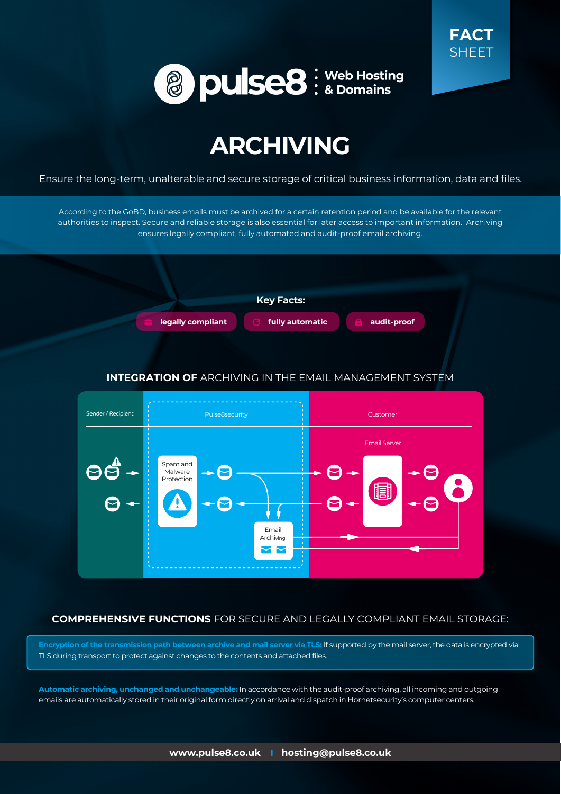



# **ARCHIVING**

Ensure the long-term, unalterable and secure storage of critical business information, data and files.

According to the GoBD, business emails must be archived for a certain retention period and be available for the relevant authorities to inspect. Secure and reliable storage is also essential for later access to important information. Archiving ensures legally compliant, fully automated and audit-proof email archiving.

**legally compliant fully automatic audit-proof**

**Key Facts:**

## Sender / Recipient Pulse8security Customer Customer Email Server Spam and Malware Protection 瞑 Email Archiving

### **INTEGRATION OF** ARCHIVING IN THE EMAIL MANAGEMENT SYSTEM

### **COMPREHENSIVE FUNCTIONS** FOR SECURE AND LEGALLY COMPLIANT EMAIL STORAGE:

**Encryption of the transmission path between archive and mail server via TLS:** If supported by the mail server, the data is encrypted via TLS during transport to protect against changes to the contents and attached files.

**Automatic archiving, unchanged and unchangeable:** In accordance with the audit-proof archiving, all incoming and outgoing emails are automatically stored in their original form directly on arrival and dispatch in Hornetsecurity's computer centers.